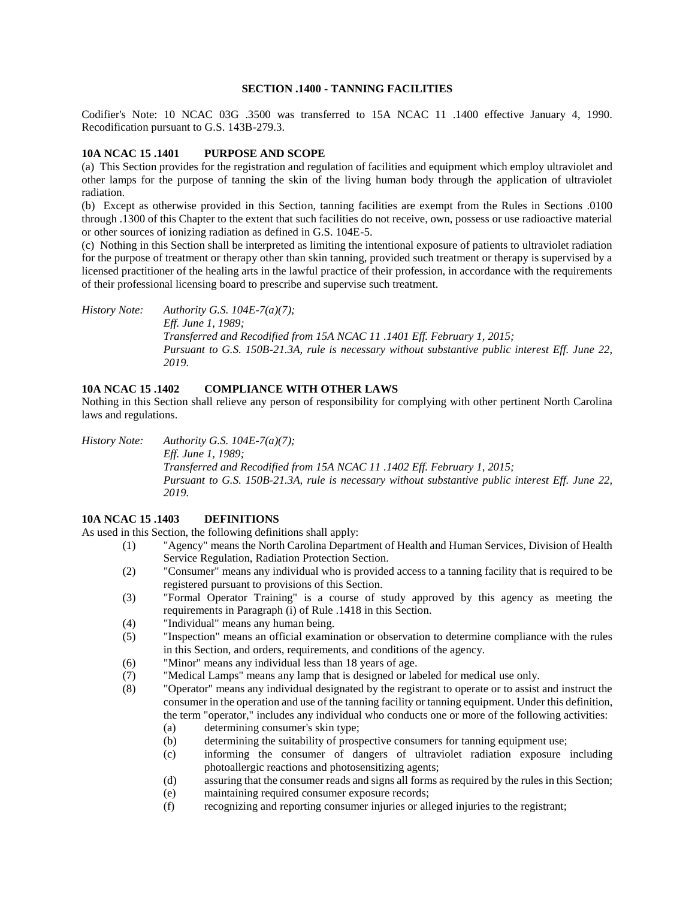#### **SECTION .1400 - TANNING FACILITIES**

Codifier's Note: 10 NCAC 03G .3500 was transferred to 15A NCAC 11 .1400 effective January 4, 1990. Recodification pursuant to G.S. 143B-279.3.

### **10A NCAC 15 .1401 PURPOSE AND SCOPE**

(a) This Section provides for the registration and regulation of facilities and equipment which employ ultraviolet and other lamps for the purpose of tanning the skin of the living human body through the application of ultraviolet radiation.

(b) Except as otherwise provided in this Section, tanning facilities are exempt from the Rules in Sections .0100 through .1300 of this Chapter to the extent that such facilities do not receive, own, possess or use radioactive material or other sources of ionizing radiation as defined in G.S. 104E-5.

(c) Nothing in this Section shall be interpreted as limiting the intentional exposure of patients to ultraviolet radiation for the purpose of treatment or therapy other than skin tanning, provided such treatment or therapy is supervised by a licensed practitioner of the healing arts in the lawful practice of their profession, in accordance with the requirements of their professional licensing board to prescribe and supervise such treatment.

*History Note: Authority G.S. 104E-7(a)(7); Eff. June 1, 1989; Transferred and Recodified from 15A NCAC 11 .1401 Eff. February 1, 2015; Pursuant to G.S. 150B-21.3A, rule is necessary without substantive public interest Eff. June 22, 2019.*

# **10A NCAC 15 .1402 COMPLIANCE WITH OTHER LAWS**

Nothing in this Section shall relieve any person of responsibility for complying with other pertinent North Carolina laws and regulations.

*History Note: Authority G.S. 104E-7(a)(7); Eff. June 1, 1989; Transferred and Recodified from 15A NCAC 11 .1402 Eff. February 1, 2015; Pursuant to G.S. 150B-21.3A, rule is necessary without substantive public interest Eff. June 22, 2019.*

#### **10A NCAC 15 .1403 DEFINITIONS**

As used in this Section, the following definitions shall apply:

- (1) "Agency" means the North Carolina Department of Health and Human Services, Division of Health Service Regulation, Radiation Protection Section.
- (2) "Consumer" means any individual who is provided access to a tanning facility that is required to be registered pursuant to provisions of this Section.
- (3) "Formal Operator Training" is a course of study approved by this agency as meeting the requirements in Paragraph (i) of Rule .1418 in this Section.
- (4) "Individual" means any human being.
- (5) "Inspection" means an official examination or observation to determine compliance with the rules in this Section, and orders, requirements, and conditions of the agency.
- (6) "Minor" means any individual less than 18 years of age.
- (7) "Medical Lamps" means any lamp that is designed or labeled for medical use only.
- (8) "Operator" means any individual designated by the registrant to operate or to assist and instruct the consumer in the operation and use of the tanning facility or tanning equipment. Under this definition, the term "operator," includes any individual who conducts one or more of the following activities:
	- (a) determining consumer's skin type;
	- (b) determining the suitability of prospective consumers for tanning equipment use;
	- (c) informing the consumer of dangers of ultraviolet radiation exposure including photoallergic reactions and photosensitizing agents;
	- (d) assuring that the consumer reads and signs all forms as required by the rules in this Section;
	- (e) maintaining required consumer exposure records;
	- (f) recognizing and reporting consumer injuries or alleged injuries to the registrant;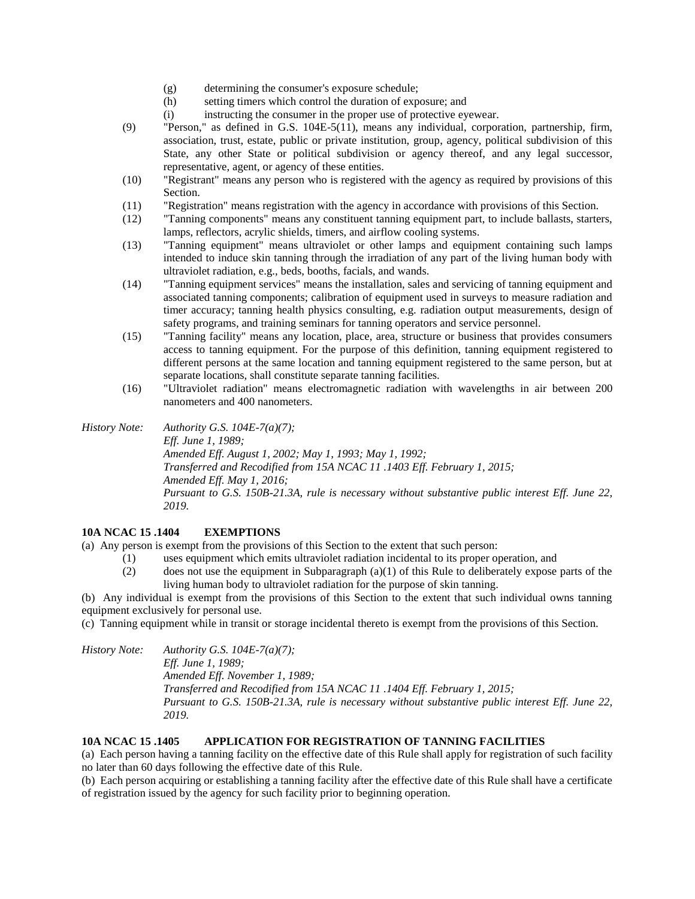- (g) determining the consumer's exposure schedule;
- (h) setting timers which control the duration of exposure; and
- (i) instructing the consumer in the proper use of protective eyewear.
- (9) "Person," as defined in G.S. 104E-5(11), means any individual, corporation, partnership, firm, association, trust, estate, public or private institution, group, agency, political subdivision of this State, any other State or political subdivision or agency thereof, and any legal successor, representative, agent, or agency of these entities.
- (10) "Registrant" means any person who is registered with the agency as required by provisions of this Section.
- (11) "Registration" means registration with the agency in accordance with provisions of this Section.
- (12) "Tanning components" means any constituent tanning equipment part, to include ballasts, starters, lamps, reflectors, acrylic shields, timers, and airflow cooling systems.
- (13) "Tanning equipment" means ultraviolet or other lamps and equipment containing such lamps intended to induce skin tanning through the irradiation of any part of the living human body with ultraviolet radiation, e.g., beds, booths, facials, and wands.
- (14) "Tanning equipment services" means the installation, sales and servicing of tanning equipment and associated tanning components; calibration of equipment used in surveys to measure radiation and timer accuracy; tanning health physics consulting, e.g. radiation output measurements, design of safety programs, and training seminars for tanning operators and service personnel.
- (15) "Tanning facility" means any location, place, area, structure or business that provides consumers access to tanning equipment. For the purpose of this definition, tanning equipment registered to different persons at the same location and tanning equipment registered to the same person, but at separate locations, shall constitute separate tanning facilities.
- (16) "Ultraviolet radiation" means electromagnetic radiation with wavelengths in air between 200 nanometers and 400 nanometers.

*History Note: Authority G.S. 104E-7(a)(7); Eff. June 1, 1989; Amended Eff. August 1, 2002; May 1, 1993; May 1, 1992; Transferred and Recodified from 15A NCAC 11 .1403 Eff. February 1, 2015; Amended Eff. May 1, 2016; Pursuant to G.S. 150B-21.3A, rule is necessary without substantive public interest Eff. June 22, 2019.*

# **10A NCAC 15 .1404 EXEMPTIONS**

(a) Any person is exempt from the provisions of this Section to the extent that such person:

- (1) uses equipment which emits ultraviolet radiation incidental to its proper operation, and
- (2) does not use the equipment in Subparagraph (a)(1) of this Rule to deliberately expose parts of the living human body to ultraviolet radiation for the purpose of skin tanning.

(b) Any individual is exempt from the provisions of this Section to the extent that such individual owns tanning equipment exclusively for personal use.

(c) Tanning equipment while in transit or storage incidental thereto is exempt from the provisions of this Section.

*History Note: Authority G.S. 104E-7(a)(7); Eff. June 1, 1989; Amended Eff. November 1, 1989; Transferred and Recodified from 15A NCAC 11 .1404 Eff. February 1, 2015; Pursuant to G.S. 150B-21.3A, rule is necessary without substantive public interest Eff. June 22, 2019.*

# **10A NCAC 15 .1405 APPLICATION FOR REGISTRATION OF TANNING FACILITIES**

(a) Each person having a tanning facility on the effective date of this Rule shall apply for registration of such facility no later than 60 days following the effective date of this Rule.

(b) Each person acquiring or establishing a tanning facility after the effective date of this Rule shall have a certificate of registration issued by the agency for such facility prior to beginning operation.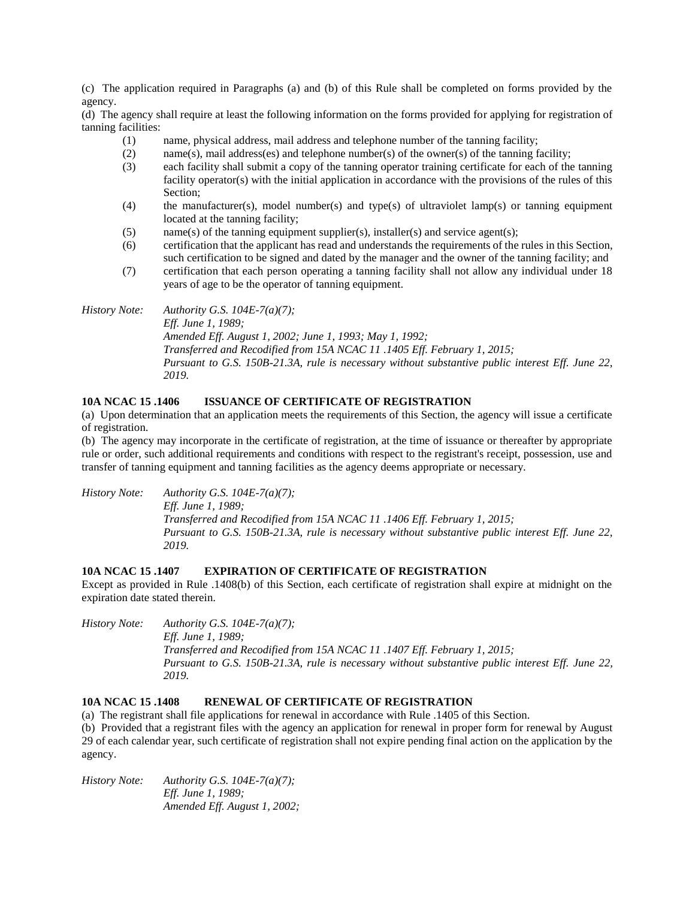(c) The application required in Paragraphs (a) and (b) of this Rule shall be completed on forms provided by the agency.

(d) The agency shall require at least the following information on the forms provided for applying for registration of tanning facilities:

- (1) name, physical address, mail address and telephone number of the tanning facility;
- (2) name(s), mail address(es) and telephone number(s) of the owner(s) of the tanning facility;
- (3) each facility shall submit a copy of the tanning operator training certificate for each of the tanning facility operator(s) with the initial application in accordance with the provisions of the rules of this Section;
- (4) the manufacturer(s), model number(s) and type(s) of ultraviolet lamp(s) or tanning equipment located at the tanning facility;
- (5) name(s) of the tanning equipment supplier(s), installer(s) and service agent(s);
- (6) certification that the applicant has read and understands the requirements of the rules in this Section, such certification to be signed and dated by the manager and the owner of the tanning facility; and
- (7) certification that each person operating a tanning facility shall not allow any individual under 18 years of age to be the operator of tanning equipment.

*History Note: Authority G.S. 104E-7(a)(7); Eff. June 1, 1989; Amended Eff. August 1, 2002; June 1, 1993; May 1, 1992; Transferred and Recodified from 15A NCAC 11 .1405 Eff. February 1, 2015; Pursuant to G.S. 150B-21.3A, rule is necessary without substantive public interest Eff. June 22, 2019.*

### **10A NCAC 15 .1406 ISSUANCE OF CERTIFICATE OF REGISTRATION**

(a) Upon determination that an application meets the requirements of this Section, the agency will issue a certificate of registration.

(b) The agency may incorporate in the certificate of registration, at the time of issuance or thereafter by appropriate rule or order, such additional requirements and conditions with respect to the registrant's receipt, possession, use and transfer of tanning equipment and tanning facilities as the agency deems appropriate or necessary.

*History Note: Authority G.S. 104E-7(a)(7);*

*Eff. June 1, 1989; Transferred and Recodified from 15A NCAC 11 .1406 Eff. February 1, 2015; Pursuant to G.S. 150B-21.3A, rule is necessary without substantive public interest Eff. June 22, 2019.*

#### **10A NCAC 15 .1407 EXPIRATION OF CERTIFICATE OF REGISTRATION**

Except as provided in Rule .1408(b) of this Section, each certificate of registration shall expire at midnight on the expiration date stated therein.

*History Note: Authority G.S. 104E-7(a)(7); Eff. June 1, 1989;*

*Transferred and Recodified from 15A NCAC 11 .1407 Eff. February 1, 2015; Pursuant to G.S. 150B-21.3A, rule is necessary without substantive public interest Eff. June 22, 2019.*

# **10A NCAC 15 .1408 RENEWAL OF CERTIFICATE OF REGISTRATION**

(a) The registrant shall file applications for renewal in accordance with Rule .1405 of this Section.

(b) Provided that a registrant files with the agency an application for renewal in proper form for renewal by August 29 of each calendar year, such certificate of registration shall not expire pending final action on the application by the agency.

*History Note: Authority G.S. 104E-7(a)(7); Eff. June 1, 1989; Amended Eff. August 1, 2002;*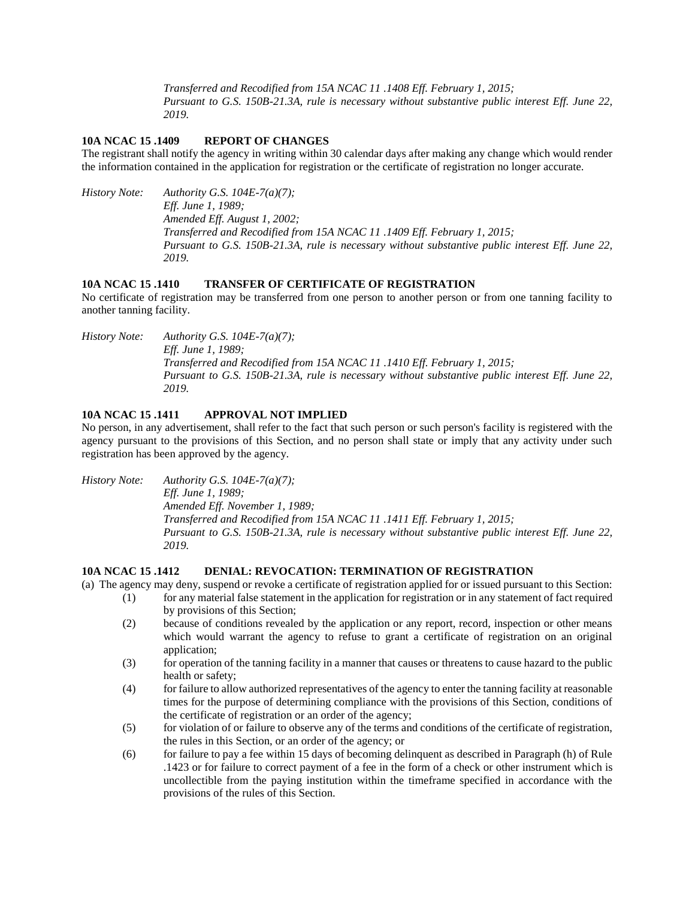*Transferred and Recodified from 15A NCAC 11 .1408 Eff. February 1, 2015; Pursuant to G.S. 150B-21.3A, rule is necessary without substantive public interest Eff. June 22, 2019.*

#### **10A NCAC 15 .1409 REPORT OF CHANGES**

The registrant shall notify the agency in writing within 30 calendar days after making any change which would render the information contained in the application for registration or the certificate of registration no longer accurate.

*History Note: Authority G.S. 104E-7(a)(7); Eff. June 1, 1989; Amended Eff. August 1, 2002; Transferred and Recodified from 15A NCAC 11 .1409 Eff. February 1, 2015; Pursuant to G.S. 150B-21.3A, rule is necessary without substantive public interest Eff. June 22, 2019.*

## **10A NCAC 15 .1410 TRANSFER OF CERTIFICATE OF REGISTRATION**

No certificate of registration may be transferred from one person to another person or from one tanning facility to another tanning facility.

*History Note: Authority G.S. 104E-7(a)(7); Eff. June 1, 1989; Transferred and Recodified from 15A NCAC 11 .1410 Eff. February 1, 2015; Pursuant to G.S. 150B-21.3A, rule is necessary without substantive public interest Eff. June 22, 2019.*

# **10A NCAC 15 .1411 APPROVAL NOT IMPLIED**

No person, in any advertisement, shall refer to the fact that such person or such person's facility is registered with the agency pursuant to the provisions of this Section, and no person shall state or imply that any activity under such registration has been approved by the agency.

*History Note: Authority G.S. 104E-7(a)(7); Eff. June 1, 1989;*

*Amended Eff. November 1, 1989; Transferred and Recodified from 15A NCAC 11 .1411 Eff. February 1, 2015; Pursuant to G.S. 150B-21.3A, rule is necessary without substantive public interest Eff. June 22, 2019.*

#### **10A NCAC 15 .1412 DENIAL: REVOCATION: TERMINATION OF REGISTRATION**

(a) The agency may deny, suspend or revoke a certificate of registration applied for or issued pursuant to this Section:

- (1) for any material false statement in the application for registration or in any statement of fact required by provisions of this Section;
- (2) because of conditions revealed by the application or any report, record, inspection or other means which would warrant the agency to refuse to grant a certificate of registration on an original application;
- (3) for operation of the tanning facility in a manner that causes or threatens to cause hazard to the public health or safety;
- (4) for failure to allow authorized representatives of the agency to enter the tanning facility at reasonable times for the purpose of determining compliance with the provisions of this Section, conditions of the certificate of registration or an order of the agency;
- (5) for violation of or failure to observe any of the terms and conditions of the certificate of registration, the rules in this Section, or an order of the agency; or
- (6) for failure to pay a fee within 15 days of becoming delinquent as described in Paragraph (h) of Rule .1423 or for failure to correct payment of a fee in the form of a check or other instrument which is uncollectible from the paying institution within the timeframe specified in accordance with the provisions of the rules of this Section.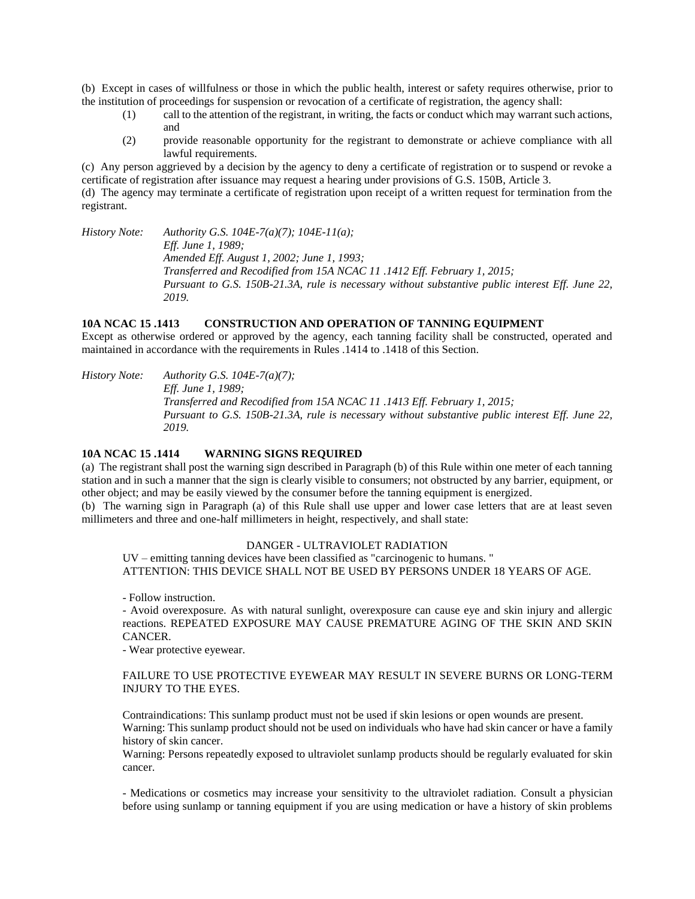(b) Except in cases of willfulness or those in which the public health, interest or safety requires otherwise, prior to the institution of proceedings for suspension or revocation of a certificate of registration, the agency shall:

- (1) call to the attention of the registrant, in writing, the facts or conduct which may warrant such actions, and
- (2) provide reasonable opportunity for the registrant to demonstrate or achieve compliance with all lawful requirements.

(c) Any person aggrieved by a decision by the agency to deny a certificate of registration or to suspend or revoke a certificate of registration after issuance may request a hearing under provisions of G.S. 150B, Article 3.

(d) The agency may terminate a certificate of registration upon receipt of a written request for termination from the registrant.

*History Note: Authority G.S. 104E-7(a)(7); 104E-11(a); Eff. June 1, 1989; Amended Eff. August 1, 2002; June 1, 1993; Transferred and Recodified from 15A NCAC 11 .1412 Eff. February 1, 2015; Pursuant to G.S. 150B-21.3A, rule is necessary without substantive public interest Eff. June 22, 2019.*

## **10A NCAC 15 .1413 CONSTRUCTION AND OPERATION OF TANNING EQUIPMENT**

Except as otherwise ordered or approved by the agency, each tanning facility shall be constructed, operated and maintained in accordance with the requirements in Rules .1414 to .1418 of this Section.

*History Note: Authority G.S. 104E-7(a)(7); Eff. June 1, 1989; Transferred and Recodified from 15A NCAC 11 .1413 Eff. February 1, 2015; Pursuant to G.S. 150B-21.3A, rule is necessary without substantive public interest Eff. June 22, 2019.*

## **10A NCAC 15 .1414 WARNING SIGNS REQUIRED**

(a) The registrant shall post the warning sign described in Paragraph (b) of this Rule within one meter of each tanning station and in such a manner that the sign is clearly visible to consumers; not obstructed by any barrier, equipment, or other object; and may be easily viewed by the consumer before the tanning equipment is energized.

(b) The warning sign in Paragraph (a) of this Rule shall use upper and lower case letters that are at least seven millimeters and three and one-half millimeters in height, respectively, and shall state:

#### DANGER - ULTRAVIOLET RADIATION

UV – emitting tanning devices have been classified as "carcinogenic to humans. " ATTENTION: THIS DEVICE SHALL NOT BE USED BY PERSONS UNDER 18 YEARS OF AGE.

- Follow instruction.

- Avoid overexposure. As with natural sunlight, overexposure can cause eye and skin injury and allergic reactions. REPEATED EXPOSURE MAY CAUSE PREMATURE AGING OF THE SKIN AND SKIN CANCER.

- Wear protective eyewear.

# FAILURE TO USE PROTECTIVE EYEWEAR MAY RESULT IN SEVERE BURNS OR LONG-TERM INJURY TO THE EYES.

Contraindications: This sunlamp product must not be used if skin lesions or open wounds are present. Warning: This sunlamp product should not be used on individuals who have had skin cancer or have a family history of skin cancer.

Warning: Persons repeatedly exposed to ultraviolet sunlamp products should be regularly evaluated for skin cancer.

- Medications or cosmetics may increase your sensitivity to the ultraviolet radiation. Consult a physician before using sunlamp or tanning equipment if you are using medication or have a history of skin problems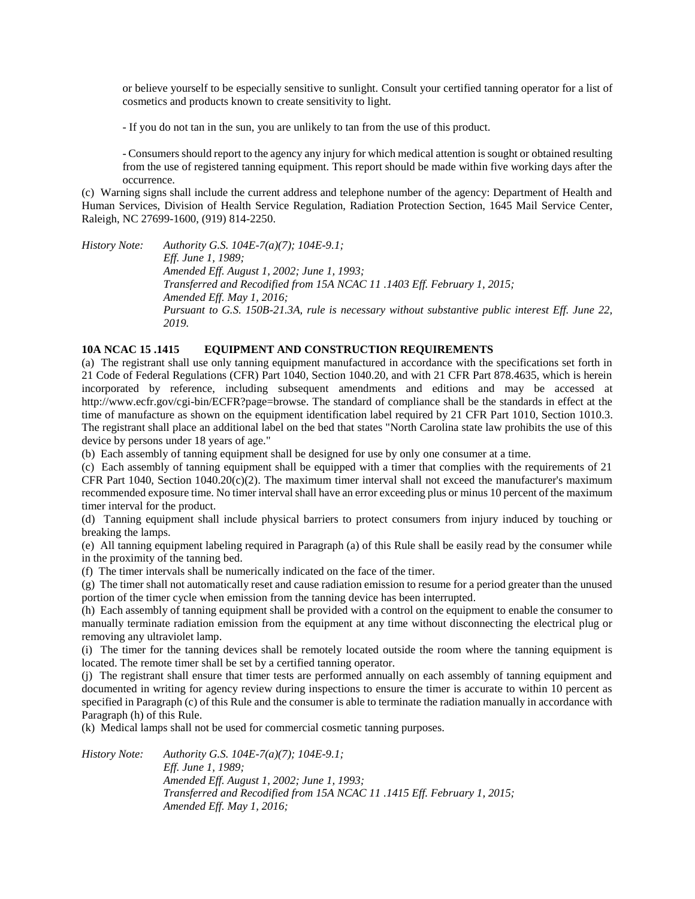or believe yourself to be especially sensitive to sunlight. Consult your certified tanning operator for a list of cosmetics and products known to create sensitivity to light.

- If you do not tan in the sun, you are unlikely to tan from the use of this product.

- Consumers should report to the agency any injury for which medical attention is sought or obtained resulting from the use of registered tanning equipment. This report should be made within five working days after the occurrence.

(c) Warning signs shall include the current address and telephone number of the agency: Department of Health and Human Services, Division of Health Service Regulation, Radiation Protection Section, 1645 Mail Service Center, Raleigh, NC 27699-1600, (919) 814-2250.

*History Note: Authority G.S. 104E-7(a)(7); 104E-9.1; Eff. June 1, 1989; Amended Eff. August 1, 2002; June 1, 1993; Transferred and Recodified from 15A NCAC 11 .1403 Eff. February 1, 2015; Amended Eff. May 1, 2016; Pursuant to G.S. 150B-21.3A, rule is necessary without substantive public interest Eff. June 22, 2019.*

# **10A NCAC 15 .1415 EQUIPMENT AND CONSTRUCTION REQUIREMENTS**

(a) The registrant shall use only tanning equipment manufactured in accordance with the specifications set forth in 21 Code of Federal Regulations (CFR) Part 1040, Section 1040.20, and with 21 CFR Part 878.4635, which is herein incorporated by reference, including subsequent amendments and editions and may be accessed at http://www.ecfr.gov/cgi-bin/ECFR?page=browse. The standard of compliance shall be the standards in effect at the time of manufacture as shown on the equipment identification label required by 21 CFR Part 1010, Section 1010.3. The registrant shall place an additional label on the bed that states "North Carolina state law prohibits the use of this device by persons under 18 years of age."

(b) Each assembly of tanning equipment shall be designed for use by only one consumer at a time.

(c) Each assembly of tanning equipment shall be equipped with a timer that complies with the requirements of 21 CFR Part 1040, Section 1040.20(c)(2). The maximum timer interval shall not exceed the manufacturer's maximum recommended exposure time. No timer interval shall have an error exceeding plus or minus 10 percent of the maximum timer interval for the product.

(d) Tanning equipment shall include physical barriers to protect consumers from injury induced by touching or breaking the lamps.

(e) All tanning equipment labeling required in Paragraph (a) of this Rule shall be easily read by the consumer while in the proximity of the tanning bed.

(f) The timer intervals shall be numerically indicated on the face of the timer.

(g) The timer shall not automatically reset and cause radiation emission to resume for a period greater than the unused portion of the timer cycle when emission from the tanning device has been interrupted.

(h) Each assembly of tanning equipment shall be provided with a control on the equipment to enable the consumer to manually terminate radiation emission from the equipment at any time without disconnecting the electrical plug or removing any ultraviolet lamp.

(i) The timer for the tanning devices shall be remotely located outside the room where the tanning equipment is located. The remote timer shall be set by a certified tanning operator.

(j) The registrant shall ensure that timer tests are performed annually on each assembly of tanning equipment and documented in writing for agency review during inspections to ensure the timer is accurate to within 10 percent as specified in Paragraph (c) of this Rule and the consumer is able to terminate the radiation manually in accordance with Paragraph (h) of this Rule.

(k) Medical lamps shall not be used for commercial cosmetic tanning purposes.

*History Note: Authority G.S. 104E-7(a)(7); 104E-9.1; Eff. June 1, 1989; Amended Eff. August 1, 2002; June 1, 1993; Transferred and Recodified from 15A NCAC 11 .1415 Eff. February 1, 2015; Amended Eff. May 1, 2016;*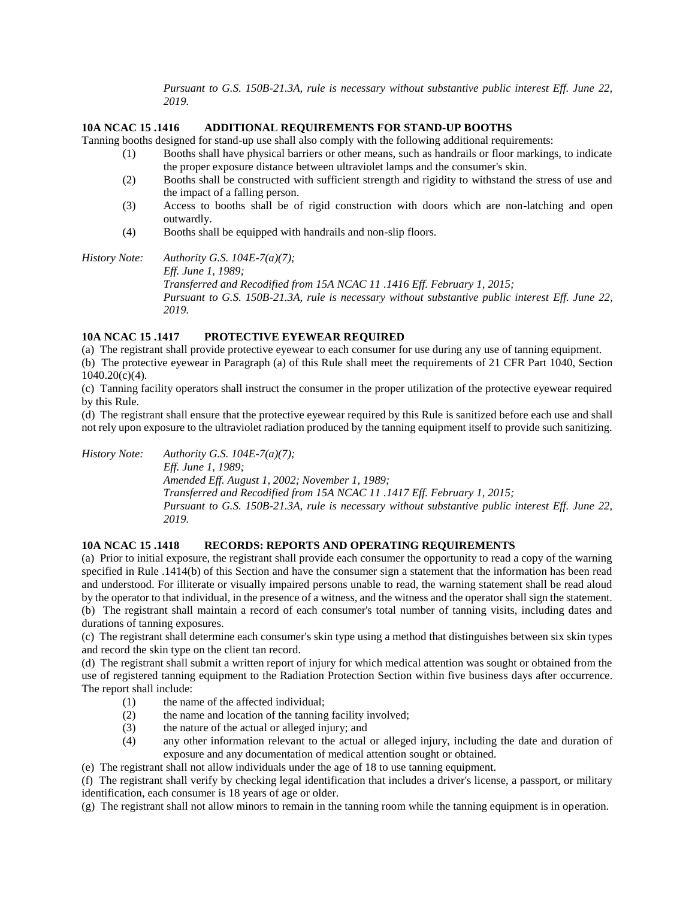*Pursuant to G.S. 150B-21.3A, rule is necessary without substantive public interest Eff. June 22, 2019.*

# **10A NCAC 15 .1416 ADDITIONAL REQUIREMENTS FOR STAND-UP BOOTHS**

Tanning booths designed for stand-up use shall also comply with the following additional requirements:

- (1) Booths shall have physical barriers or other means, such as handrails or floor markings, to indicate the proper exposure distance between ultraviolet lamps and the consumer's skin.
- (2) Booths shall be constructed with sufficient strength and rigidity to withstand the stress of use and the impact of a falling person.
- (3) Access to booths shall be of rigid construction with doors which are non-latching and open outwardly.
- (4) Booths shall be equipped with handrails and non-slip floors.

*History Note: Authority G.S. 104E-7(a)(7); Eff. June 1, 1989; Transferred and Recodified from 15A NCAC 11 .1416 Eff. February 1, 2015; Pursuant to G.S. 150B-21.3A, rule is necessary without substantive public interest Eff. June 22, 2019.*

# **10A NCAC 15 .1417 PROTECTIVE EYEWEAR REQUIRED**

(a) The registrant shall provide protective eyewear to each consumer for use during any use of tanning equipment. (b) The protective eyewear in Paragraph (a) of this Rule shall meet the requirements of 21 CFR Part 1040, Section 1040.20(c)(4).

(c) Tanning facility operators shall instruct the consumer in the proper utilization of the protective eyewear required by this Rule.

(d) The registrant shall ensure that the protective eyewear required by this Rule is sanitized before each use and shall not rely upon exposure to the ultraviolet radiation produced by the tanning equipment itself to provide such sanitizing.

*History Note: Authority G.S. 104E-7(a)(7);*

*Eff. June 1, 1989; Amended Eff. August 1, 2002; November 1, 1989; Transferred and Recodified from 15A NCAC 11 .1417 Eff. February 1, 2015; Pursuant to G.S. 150B-21.3A, rule is necessary without substantive public interest Eff. June 22, 2019.*

# **10A NCAC 15 .1418 RECORDS: REPORTS AND OPERATING REQUIREMENTS**

(a) Prior to initial exposure, the registrant shall provide each consumer the opportunity to read a copy of the warning specified in Rule .1414(b) of this Section and have the consumer sign a statement that the information has been read and understood. For illiterate or visually impaired persons unable to read, the warning statement shall be read aloud by the operator to that individual, in the presence of a witness, and the witness and the operator shall sign the statement. (b) The registrant shall maintain a record of each consumer's total number of tanning visits, including dates and durations of tanning exposures.

(c) The registrant shall determine each consumer's skin type using a method that distinguishes between six skin types and record the skin type on the client tan record.

(d) The registrant shall submit a written report of injury for which medical attention was sought or obtained from the use of registered tanning equipment to the Radiation Protection Section within five business days after occurrence. The report shall include:

- (1) the name of the affected individual;
- (2) the name and location of the tanning facility involved;
- (3) the nature of the actual or alleged injury; and
- (4) any other information relevant to the actual or alleged injury, including the date and duration of exposure and any documentation of medical attention sought or obtained.

(e) The registrant shall not allow individuals under the age of 18 to use tanning equipment.

(f) The registrant shall verify by checking legal identification that includes a driver's license, a passport, or military identification, each consumer is 18 years of age or older.

(g) The registrant shall not allow minors to remain in the tanning room while the tanning equipment is in operation.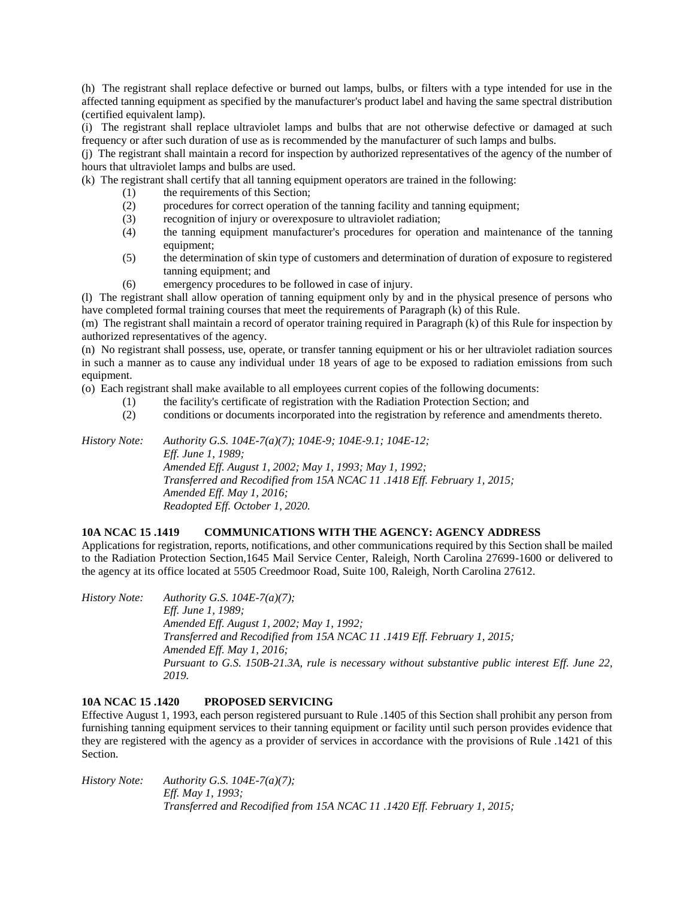(h) The registrant shall replace defective or burned out lamps, bulbs, or filters with a type intended for use in the affected tanning equipment as specified by the manufacturer's product label and having the same spectral distribution (certified equivalent lamp).

(i) The registrant shall replace ultraviolet lamps and bulbs that are not otherwise defective or damaged at such frequency or after such duration of use as is recommended by the manufacturer of such lamps and bulbs.

(j) The registrant shall maintain a record for inspection by authorized representatives of the agency of the number of hours that ultraviolet lamps and bulbs are used.

(k) The registrant shall certify that all tanning equipment operators are trained in the following:

- the requirements of this Section;
- (2) procedures for correct operation of the tanning facility and tanning equipment;
- (3) recognition of injury or overexposure to ultraviolet radiation;
- (4) the tanning equipment manufacturer's procedures for operation and maintenance of the tanning equipment;
- (5) the determination of skin type of customers and determination of duration of exposure to registered tanning equipment; and
- (6) emergency procedures to be followed in case of injury.

(l) The registrant shall allow operation of tanning equipment only by and in the physical presence of persons who have completed formal training courses that meet the requirements of Paragraph (k) of this Rule.

(m) The registrant shall maintain a record of operator training required in Paragraph (k) of this Rule for inspection by authorized representatives of the agency.

(n) No registrant shall possess, use, operate, or transfer tanning equipment or his or her ultraviolet radiation sources in such a manner as to cause any individual under 18 years of age to be exposed to radiation emissions from such equipment.

(o) Each registrant shall make available to all employees current copies of the following documents:

- (1) the facility's certificate of registration with the Radiation Protection Section; and
- (2) conditions or documents incorporated into the registration by reference and amendments thereto.

*History Note: Authority G.S. 104E-7(a)(7); 104E-9; 104E-9.1; 104E-12; Eff. June 1, 1989; Amended Eff. August 1, 2002; May 1, 1993; May 1, 1992; Transferred and Recodified from 15A NCAC 11 .1418 Eff. February 1, 2015; Amended Eff. May 1, 2016; Readopted Eff. October 1, 2020.*

# **10A NCAC 15 .1419 COMMUNICATIONS WITH THE AGENCY: AGENCY ADDRESS**

Applications for registration, reports, notifications, and other communications required by this Section shall be mailed to the Radiation Protection Section,1645 Mail Service Center, Raleigh, North Carolina 27699-1600 or delivered to the agency at its office located at 5505 Creedmoor Road, Suite 100, Raleigh, North Carolina 27612.

*History Note: Authority G.S. 104E-7(a)(7); Eff. June 1, 1989; Amended Eff. August 1, 2002; May 1, 1992; Transferred and Recodified from 15A NCAC 11 .1419 Eff. February 1, 2015; Amended Eff. May 1, 2016; Pursuant to G.S. 150B-21.3A, rule is necessary without substantive public interest Eff. June 22, 2019.*

# **10A NCAC 15 .1420 PROPOSED SERVICING**

Effective August 1, 1993, each person registered pursuant to Rule .1405 of this Section shall prohibit any person from furnishing tanning equipment services to their tanning equipment or facility until such person provides evidence that they are registered with the agency as a provider of services in accordance with the provisions of Rule .1421 of this Section.

*History Note: Authority G.S. 104E-7(a)(7); Eff. May 1, 1993; Transferred and Recodified from 15A NCAC 11 .1420 Eff. February 1, 2015;*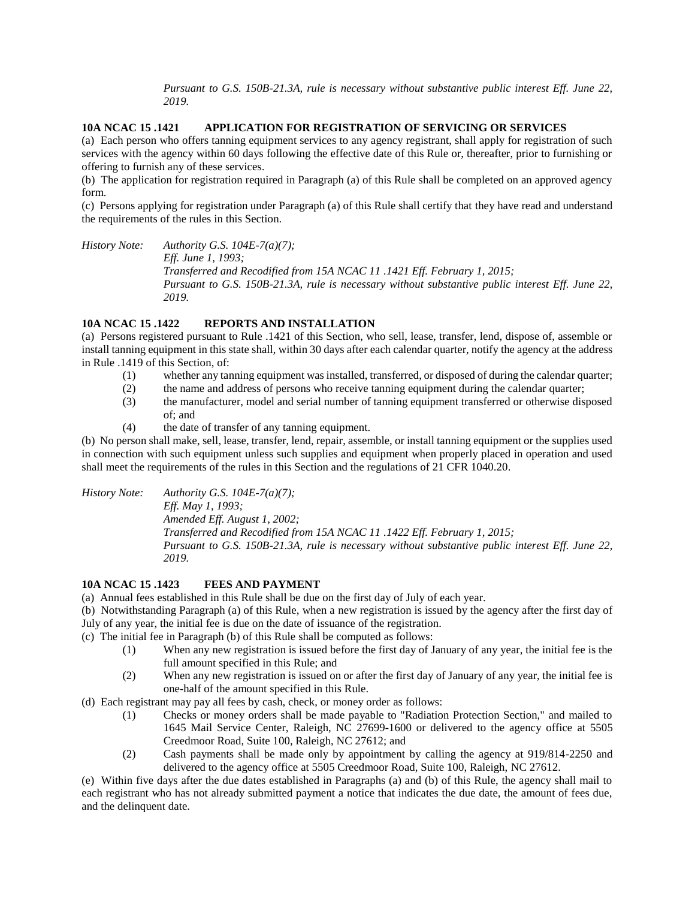*Pursuant to G.S. 150B-21.3A, rule is necessary without substantive public interest Eff. June 22, 2019.*

# **10A NCAC 15 .1421 APPLICATION FOR REGISTRATION OF SERVICING OR SERVICES**

(a) Each person who offers tanning equipment services to any agency registrant, shall apply for registration of such services with the agency within 60 days following the effective date of this Rule or, thereafter, prior to furnishing or offering to furnish any of these services.

(b) The application for registration required in Paragraph (a) of this Rule shall be completed on an approved agency form.

(c) Persons applying for registration under Paragraph (a) of this Rule shall certify that they have read and understand the requirements of the rules in this Section.

*History Note: Authority G.S. 104E-7(a)(7); Eff. June 1, 1993; Transferred and Recodified from 15A NCAC 11 .1421 Eff. February 1, 2015; Pursuant to G.S. 150B-21.3A, rule is necessary without substantive public interest Eff. June 22, 2019.*

## **10A NCAC 15 .1422 REPORTS AND INSTALLATION**

(a) Persons registered pursuant to Rule .1421 of this Section, who sell, lease, transfer, lend, dispose of, assemble or install tanning equipment in this state shall, within 30 days after each calendar quarter, notify the agency at the address in Rule .1419 of this Section, of:

- (1) whether any tanning equipment was installed, transferred, or disposed of during the calendar quarter;
- (2) the name and address of persons who receive tanning equipment during the calendar quarter;
- (3) the manufacturer, model and serial number of tanning equipment transferred or otherwise disposed of; and
- (4) the date of transfer of any tanning equipment.

(b) No person shall make, sell, lease, transfer, lend, repair, assemble, or install tanning equipment or the supplies used in connection with such equipment unless such supplies and equipment when properly placed in operation and used shall meet the requirements of the rules in this Section and the regulations of 21 CFR 1040.20.

*History Note: Authority G.S. 104E-7(a)(7);*

*Eff. May 1, 1993;*

*Amended Eff. August 1, 2002;*

*Transferred and Recodified from 15A NCAC 11 .1422 Eff. February 1, 2015; Pursuant to G.S. 150B-21.3A, rule is necessary without substantive public interest Eff. June 22, 2019.*

#### **10A NCAC 15 .1423 FEES AND PAYMENT**

(a) Annual fees established in this Rule shall be due on the first day of July of each year.

(b) Notwithstanding Paragraph (a) of this Rule, when a new registration is issued by the agency after the first day of July of any year, the initial fee is due on the date of issuance of the registration.

(c) The initial fee in Paragraph (b) of this Rule shall be computed as follows:

- (1) When any new registration is issued before the first day of January of any year, the initial fee is the full amount specified in this Rule; and
- (2) When any new registration is issued on or after the first day of January of any year, the initial fee is one-half of the amount specified in this Rule.

(d) Each registrant may pay all fees by cash, check, or money order as follows:

- (1) Checks or money orders shall be made payable to "Radiation Protection Section," and mailed to 1645 Mail Service Center, Raleigh, NC 27699-1600 or delivered to the agency office at 5505 Creedmoor Road, Suite 100, Raleigh, NC 27612; and
- (2) Cash payments shall be made only by appointment by calling the agency at 919/814-2250 and delivered to the agency office at 5505 Creedmoor Road, Suite 100, Raleigh, NC 27612.

(e) Within five days after the due dates established in Paragraphs (a) and (b) of this Rule, the agency shall mail to each registrant who has not already submitted payment a notice that indicates the due date, the amount of fees due, and the delinquent date.